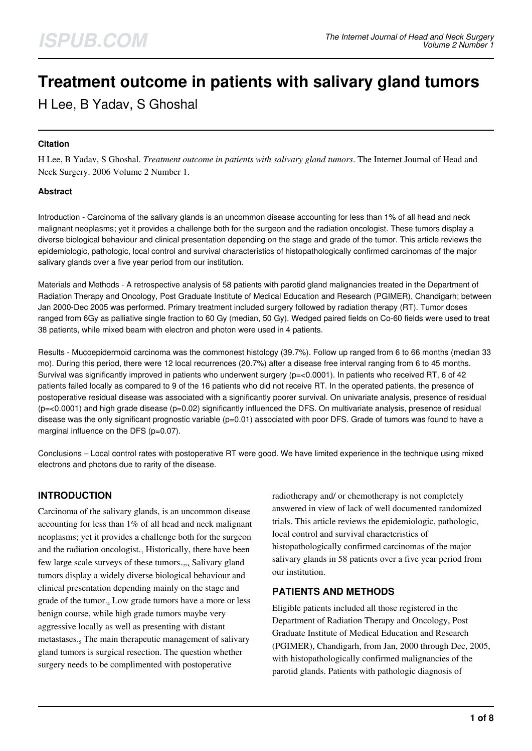# **Treatment outcome in patients with salivary gland tumors**

H Lee, B Yadav, S Ghoshal

# **Citation**

H Lee, B Yadav, S Ghoshal. *Treatment outcome in patients with salivary gland tumors*. The Internet Journal of Head and Neck Surgery. 2006 Volume 2 Number 1.

## **Abstract**

Introduction - Carcinoma of the salivary glands is an uncommon disease accounting for less than 1% of all head and neck malignant neoplasms; yet it provides a challenge both for the surgeon and the radiation oncologist. These tumors display a diverse biological behaviour and clinical presentation depending on the stage and grade of the tumor. This article reviews the epidemiologic, pathologic, local control and survival characteristics of histopathologically confirmed carcinomas of the major salivary glands over a five year period from our institution.

Materials and Methods - A retrospective analysis of 58 patients with parotid gland malignancies treated in the Department of Radiation Therapy and Oncology, Post Graduate Institute of Medical Education and Research (PGIMER), Chandigarh; between Jan 2000-Dec 2005 was performed. Primary treatment included surgery followed by radiation therapy (RT). Tumor doses ranged from 6Gy as palliative single fraction to 60 Gy (median, 50 Gy). Wedged paired fields on Co-60 fields were used to treat 38 patients, while mixed beam with electron and photon were used in 4 patients.

Results - Mucoepidermoid carcinoma was the commonest histology (39.7%). Follow up ranged from 6 to 66 months (median 33 mo). During this period, there were 12 local recurrences (20.7%) after a disease free interval ranging from 6 to 45 months. Survival was significantly improved in patients who underwent surgery (p=<0.0001). In patients who received RT, 6 of 42 patients failed locally as compared to 9 of the 16 patients who did not receive RT. In the operated patients, the presence of postoperative residual disease was associated with a significantly poorer survival. On univariate analysis, presence of residual  $(p=<0.0001)$  and high grade disease  $(p=0.02)$  significantly influenced the DFS. On multivariate analysis, presence of residual disease was the only significant prognostic variable  $(p=0.01)$  associated with poor DFS. Grade of tumors was found to have a marginal influence on the DFS (p=0.07).

Conclusions – Local control rates with postoperative RT were good. We have limited experience in the technique using mixed electrons and photons due to rarity of the disease.

# **INTRODUCTION**

Carcinoma of the salivary glands, is an uncommon disease accounting for less than 1% of all head and neck malignant neoplasms; yet it provides a challenge both for the surgeon and the radiation oncologist. $_1$  Historically, there have been few large scale surveys of these tumors.<sub>2,3</sub> Salivary gland tumors display a widely diverse biological behaviour and clinical presentation depending mainly on the stage and grade of the tumor.<sub>4</sub> Low grade tumors have a more or less benign course, while high grade tumors maybe very aggressive locally as well as presenting with distant metastases.<sub>5</sub> The main therapeutic management of salivary gland tumors is surgical resection. The question whether surgery needs to be complimented with postoperative

radiotherapy and/ or chemotherapy is not completely answered in view of lack of well documented randomized trials. This article reviews the epidemiologic, pathologic, local control and survival characteristics of histopathologically confirmed carcinomas of the major salivary glands in 58 patients over a five year period from our institution.

# **PATIENTS AND METHODS**

Eligible patients included all those registered in the Department of Radiation Therapy and Oncology, Post Graduate Institute of Medical Education and Research (PGIMER), Chandigarh, from Jan, 2000 through Dec, 2005, with histopathologically confirmed malignancies of the parotid glands. Patients with pathologic diagnosis of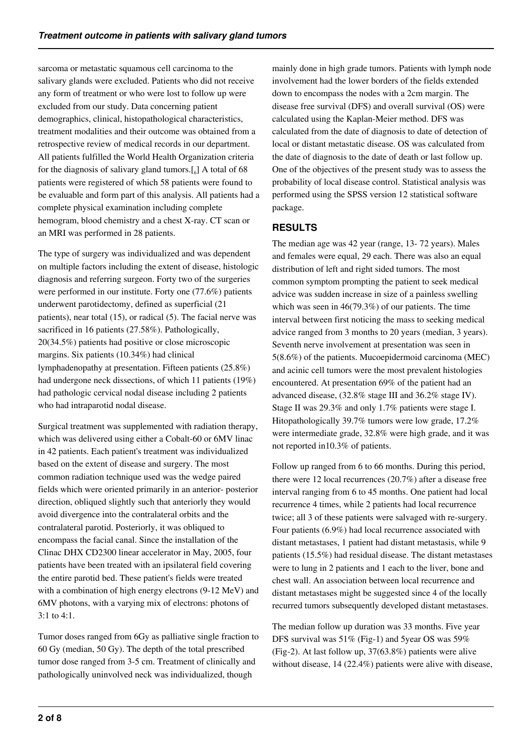sarcoma or metastatic squamous cell carcinoma to the salivary glands were excluded. Patients who did not receive any form of treatment or who were lost to follow up were excluded from our study. Data concerning patient demographics, clinical, histopathological characteristics, treatment modalities and their outcome was obtained from a retrospective review of medical records in our department. All patients fulfilled the World Health Organization criteria for the diagnosis of salivary gland tumors. $\left[\begin{smallmatrix}6\end{smallmatrix}\right]$  A total of 68 patients were registered of which 58 patients were found to be evaluable and form part of this analysis. All patients had a complete physical examination including complete hemogram, blood chemistry and a chest X-ray. CT scan or an MRI was performed in 28 patients.

The type of surgery was individualized and was dependent on multiple factors including the extent of disease, histologic diagnosis and referring surgeon. Forty two of the surgeries were performed in our institute. Forty one (77.6%) patients underwent parotidectomy, defined as superficial (21 patients), near total (15), or radical (5). The facial nerve was sacrificed in 16 patients (27.58%). Pathologically, 20(34.5%) patients had positive or close microscopic margins. Six patients (10.34%) had clinical lymphadenopathy at presentation. Fifteen patients (25.8%) had undergone neck dissections, of which 11 patients (19%) had pathologic cervical nodal disease including 2 patients who had intraparotid nodal disease.

Surgical treatment was supplemented with radiation therapy, which was delivered using either a Cobalt-60 or 6MV linac in 42 patients. Each patient's treatment was individualized based on the extent of disease and surgery. The most common radiation technique used was the wedge paired fields which were oriented primarily in an anterior- posterior direction, obliqued slightly such that anteriorly they would avoid divergence into the contralateral orbits and the contralateral parotid. Posteriorly, it was obliqued to encompass the facial canal. Since the installation of the Clinac DHX CD2300 linear accelerator in May, 2005, four patients have been treated with an ipsilateral field covering the entire parotid bed. These patient's fields were treated with a combination of high energy electrons (9-12 MeV) and 6MV photons, with a varying mix of electrons: photons of 3:1 to 4:1.

Tumor doses ranged from 6Gy as palliative single fraction to 60 Gy (median, 50 Gy). The depth of the total prescribed tumor dose ranged from 3-5 cm. Treatment of clinically and pathologically uninvolved neck was individualized, though

mainly done in high grade tumors. Patients with lymph node involvement had the lower borders of the fields extended down to encompass the nodes with a 2cm margin. The disease free survival (DFS) and overall survival (OS) were calculated using the Kaplan-Meier method. DFS was calculated from the date of diagnosis to date of detection of local or distant metastatic disease. OS was calculated from the date of diagnosis to the date of death or last follow up. One of the objectives of the present study was to assess the probability of local disease control. Statistical analysis was performed using the SPSS version 12 statistical software package.

# **RESULTS**

The median age was 42 year (range, 13- 72 years). Males and females were equal, 29 each. There was also an equal distribution of left and right sided tumors. The most common symptom prompting the patient to seek medical advice was sudden increase in size of a painless swelling which was seen in 46(79.3%) of our patients. The time interval between first noticing the mass to seeking medical advice ranged from 3 months to 20 years (median, 3 years). Seventh nerve involvement at presentation was seen in 5(8.6%) of the patients. Mucoepidermoid carcinoma (MEC) and acinic cell tumors were the most prevalent histologies encountered. At presentation 69% of the patient had an advanced disease, (32.8% stage III and 36.2% stage IV). Stage II was 29.3% and only 1.7% patients were stage I. Hitopathologically 39.7% tumors were low grade, 17.2% were intermediate grade, 32.8% were high grade, and it was not reported in10.3% of patients.

Follow up ranged from 6 to 66 months. During this period, there were 12 local recurrences (20.7%) after a disease free interval ranging from 6 to 45 months. One patient had local recurrence 4 times, while 2 patients had local recurrence twice; all 3 of these patients were salvaged with re-surgery. Four patients (6.9%) had local recurrence associated with distant metastases, 1 patient had distant metastasis, while 9 patients (15.5%) had residual disease. The distant metastases were to lung in 2 patients and 1 each to the liver, bone and chest wall. An association between local recurrence and distant metastases might be suggested since 4 of the locally recurred tumors subsequently developed distant metastases.

The median follow up duration was 33 months. Five year DFS survival was 51% (Fig-1) and 5year OS was 59% (Fig-2). At last follow up, 37(63.8%) patients were alive without disease, 14 (22.4%) patients were alive with disease,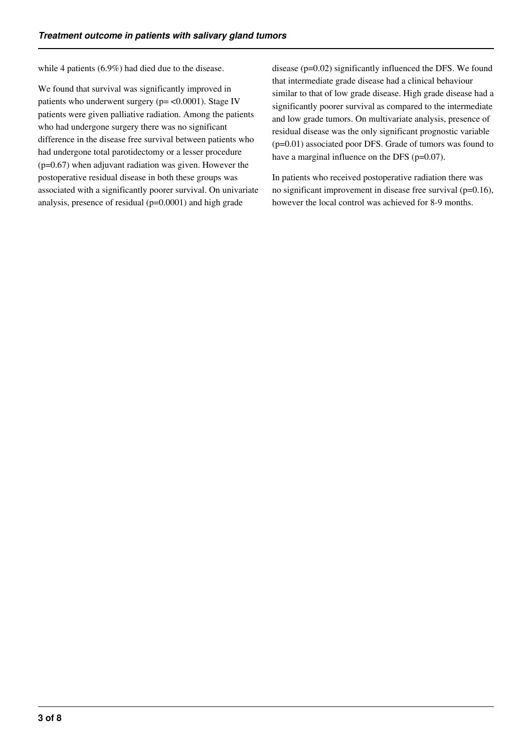while 4 patients (6.9%) had died due to the disease.

We found that survival was significantly improved in patients who underwent surgery ( $p = < 0.0001$ ). Stage IV patients were given palliative radiation. Among the patients who had undergone surgery there was no significant difference in the disease free survival between patients who had undergone total parotidectomy or a lesser procedure  $(p=0.67)$  when adjuvant radiation was given. However the postoperative residual disease in both these groups was associated with a significantly poorer survival. On univariate analysis, presence of residual (p=0.0001) and high grade

disease (p=0.02) significantly influenced the DFS. We found that intermediate grade disease had a clinical behaviour similar to that of low grade disease. High grade disease had a significantly poorer survival as compared to the intermediate and low grade tumors. On multivariate analysis, presence of residual disease was the only significant prognostic variable (p=0.01) associated poor DFS. Grade of tumors was found to have a marginal influence on the DFS (p=0.07).

In patients who received postoperative radiation there was no significant improvement in disease free survival (p=0.16), however the local control was achieved for 8-9 months.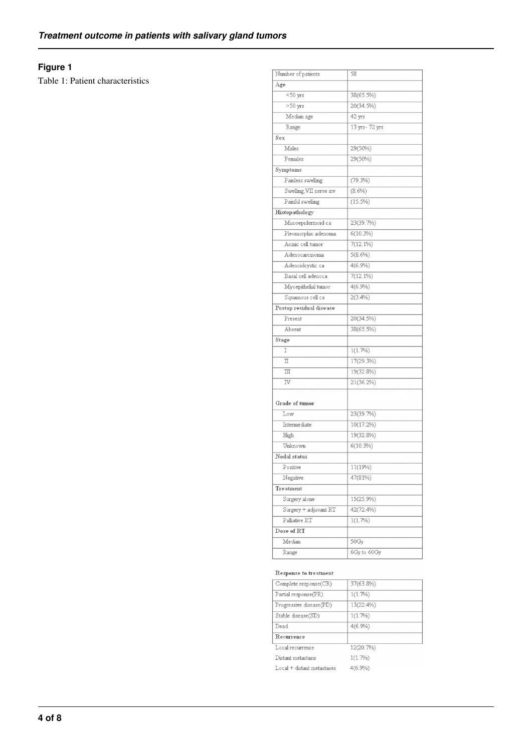# **Figure 1**

Table 1: Patient characteristics

| Number of patients      | 58             |
|-------------------------|----------------|
| Age                     |                |
| $<$ 50 $yrs$            | 38(65.5%)      |
| $>50$ yrs               | 20(34.5%)      |
| Median age              | 42 yrs         |
| Range                   | 13 yrs- 72 yrs |
| Sex                     |                |
| Males                   | 29(50%)        |
| Females                 | 29(50%)        |
| Symptoms                |                |
| Painless swelling       | $(79.3\%)$     |
| Swelling, VII nerve inv | $(8.6\%)$      |
| Painful swelling        | $(15.5\%)$     |
| Histopathology          |                |
| Mucoepidermoid ca       | 23(39.7%)      |
| Pleomorphic adenoma     | $6(10.3\%)$    |
| Acinic cell tumor       | $7(12.1\%)$    |
| Adenocarcinoma          | $5(8.6\%)$     |
| Adenoidcystic ca        | $4(6.9\%)$     |
| Basal cell adenoca      | $7(12.1\%)$    |
| Myoepithelial tumor     | $4(6.9\%)$     |
| Squamous cell ca        | $2(3.4\%)$     |
| Postop residual disease |                |
| Present                 | 20(34.5%)      |
| Absent                  | 38(65.5%)      |
| Stage                   |                |
| I                       | 1(1.7%)        |
| $\mathbb I$             | 17(29.3%)      |
| $\mathbb{I}$            | 19(32.8%)      |
| IV                      | 21(36.2%)      |
|                         |                |
| Grade of tumor          |                |
| Low                     | 23(39.7%)      |
| Intermediate            | 10(17.2%)      |
| High                    | 19(32.8%)      |
| Unknown                 | $6(10.3\%)$    |
| Nodal status            |                |
| Positive                | 11(19%)        |
| Negative                | 47(81%)        |
| Treatment               |                |
| Surgery alone           | 15(25.9%)      |
| Surgery + adjuvant RT   | 42(72.4%)      |
| Palliative RT           | 1(1.7%)        |
| Dose of RT              |                |
| Median                  | 50Gy           |
| Range                   | 6Gy to 60Gy    |
|                         |                |

#### Response to treatment

| Complete response(CR)      | 37(63.8%)  |
|----------------------------|------------|
| Partial response(PR)       | 1(1.7%)    |
| Progressive disease(PD)    | 13(22.4%)  |
| Stable disease(SD)         | 1(1.7%)    |
| Dead                       | $4(6.9\%)$ |
| Recurrence                 |            |
| Local recurrence           | 12(20.7%)  |
| Distant metastasis         | 1(1.7%)    |
| Local + distant metastases | $4(6.9\%)$ |
|                            |            |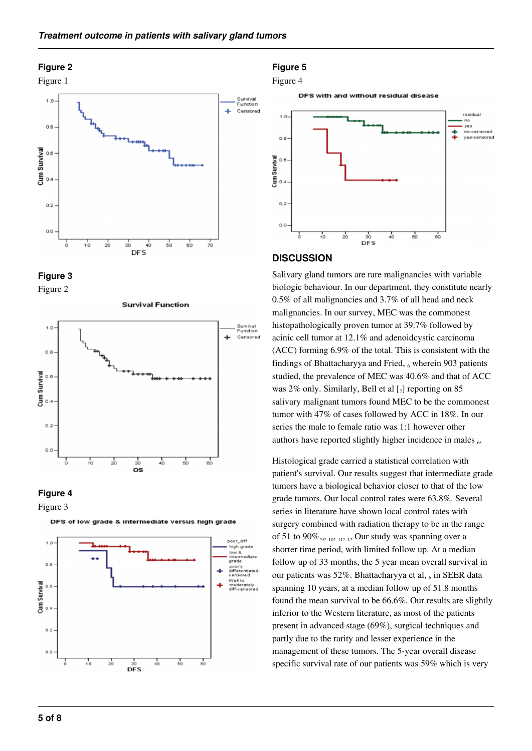#### **Figure 2**











Figure 3



DFS of low grade & intermediate versus high grade

#### **Figure 5**

#### Figure 4

DFS with and without residual disease



#### **DISCUSSION**

Salivary gland tumors are rare malignancies with variable biologic behaviour. In our department, they constitute nearly 0.5% of all malignancies and 3.7% of all head and neck malignancies. In our survey, MEC was the commonest histopathologically proven tumor at 39.7% followed by acinic cell tumor at 12.1% and adenoidcystic carcinoma (ACC) forming 6.9% of the total. This is consistent with the findings of Bhattacharyya and Fried, 6 wherein 903 patients studied, the prevalence of MEC was 40.6% and that of ACC was 2% only. Similarly, Bell et al  $\left[\right]$  reporting on 85 salivary malignant tumors found MEC to be the commonest tumor with 47% of cases followed by ACC in 18%. In our series the male to female ratio was 1:1 however other authors have reported slightly higher incidence in males  $_6$ .

Histological grade carried a statistical correlation with patient's survival. Our results suggest that intermediate grade tumors have a biological behavior closer to that of the low grade tumors. Our local control rates were 63.8%. Several series in literature have shown local control rates with surgery combined with radiation therapy to be in the range of 51 to 90%. $_{9}$ ,  $_{10}$ ,  $_{11}$ ,  $_{12}$  Our study was spanning over a shorter time period, with limited follow up. At a median follow up of 33 months, the 5 year mean overall survival in our patients was 52%. Bhattacharyya et al, 6 in SEER data spanning 10 years, at a median follow up of 51.8 months found the mean survival to be 66.6%. Our results are slightly inferior to the Western literature, as most of the patients present in advanced stage (69%), surgical techniques and partly due to the rarity and lesser experience in the management of these tumors. The 5-year overall disease specific survival rate of our patients was 59% which is very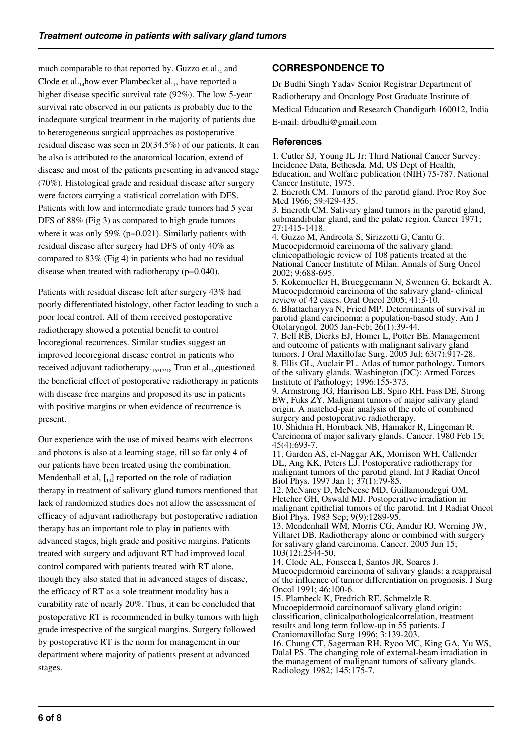much comparable to that reported by. Guzzo et al.4 and Clode et al. $_{14}$ how ever Plambecket al. $_{15}$  have reported a higher disease specific survival rate (92%). The low 5-year survival rate observed in our patients is probably due to the inadequate surgical treatment in the majority of patients due to heterogeneous surgical approaches as postoperative residual disease was seen in 20(34.5%) of our patients. It can be also is attributed to the anatomical location, extend of disease and most of the patients presenting in advanced stage (70%). Histological grade and residual disease after surgery were factors carrying a statistical correlation with DFS. Patients with low and intermediate grade tumors had 5 year DFS of 88% (Fig 3) as compared to high grade tumors where it was only 59% (p=0.021). Similarly patients with residual disease after surgery had DFS of only 40% as compared to 83% (Fig 4) in patients who had no residual disease when treated with radiotherapy (p=0.040).

Patients with residual disease left after surgery 43% had poorly differentiated histology, other factor leading to such a poor local control. All of them received postoperative radiotherapy showed a potential benefit to control locoregional recurrences. Similar studies suggest an improved locoregional disease control in patients who received adjuvant radiotherapy. $_{16,17,18}$  Tran et al. $_{18}$ questioned the beneficial effect of postoperative radiotherapy in patients with disease free margins and proposed its use in patients with positive margins or when evidence of recurrence is present.

Our experience with the use of mixed beams with electrons and photons is also at a learning stage, till so far only 4 of our patients have been treated using the combination. Mendenhall et al,  $\begin{bmatrix} 1 \\ 13 \end{bmatrix}$  reported on the role of radiation therapy in treatment of salivary gland tumors mentioned that lack of randomized studies does not allow the assessment of efficacy of adjuvant radiotherapy but postoperative radiation therapy has an important role to play in patients with advanced stages, high grade and positive margins. Patients treated with surgery and adjuvant RT had improved local control compared with patients treated with RT alone, though they also stated that in advanced stages of disease, the efficacy of RT as a sole treatment modality has a curability rate of nearly 20%. Thus, it can be concluded that postoperative RT is recommended in bulky tumors with high grade irrespective of the surgical margins. Surgery followed by postoperative RT is the norm for management in our department where majority of patients present at advanced stages.

# **CORRESPONDENCE TO**

Dr Budhi Singh Yadav Senior Registrar Department of Radiotherapy and Oncology Post Graduate Institute of Medical Education and Research Chandigarh 160012, India E-mail: drbudhi@gmail.com

## **References**

1. Cutler SJ, Young JL Jr: Third National Cancer Survey: Incidence Data, Bethesda. Md, US Dept of Health, Education, and Welfare publication (NIH) 75-787. National Cancer Institute, 1975.

2. Eneroth CM. Tumors of the parotid gland. Proc Roy Soc Med 1966; 59:429-435.

3. Eneroth CM. Salivary gland tumors in the parotid gland, submandibular gland, and the palate region. Cancer 1971; 27:1415-1418.

4. Guzzo M, Andreola S, Sirizzotti G, Cantu G. Mucoepidermoid carcinoma of the salivary gland: clinicopathologic review of 108 patients treated at the National Cancer Institute of Milan. Annals of Surg Oncol 2002; 9:688-695.

5. Kokemueller H, Brueggemann N, Swennen G, Eckardt A. Mucoepidermoid carcinoma of the salivary gland- clinical review of 42 cases. Oral Oncol 2005; 41:3-10.

6. Bhattacharyya N, Fried MP. Determinants of survival in parotid gland carcinoma: a population-based study. Am J Otolaryngol. 2005 Jan-Feb; 26(1):39-44.

7. Bell RB, Dierks EJ, Homer L, Potter BE. Management and outcome of patients with malignant salivary gland tumors. J Oral Maxillofac Surg. 2005 Jul; 63(7):917-28. 8. Ellis GL, Auclair PL. Atlas of tumor pathology. Tumors of the salivary glands. Washington (DC): Armed Forces Institute of Pathology; 1996:155-373.

9. Armstrong JG, Harrison LB, Spiro RH, Fass DE, Strong EW, Fuks ZY. Malignant tumors of major salivary gland origin. A matched-pair analysis of the role of combined surgery and postoperative radiotherapy.

10. Shidnia H, Hornback NB, Hamaker R, Lingeman R. Carcinoma of major salivary glands. Cancer. 1980 Feb 15; 45(4):693-7.

11. Garden AS, el-Naggar AK, Morrison WH, Callender DL, Ang KK, Peters LJ. Postoperative radiotherapy for malignant tumors of the parotid gland. Int J Radiat Oncol Biol Phys. 1997 Jan 1; 37(1):79-85.

12. McNaney D, McNeese MD, Guillamondegui OM, Fletcher GH, Oswald MJ. Postoperative irradiation in malignant epithelial tumors of the parotid. Int J Radiat Oncol Biol Phys. 1983 Sep; 9(9):1289-95.

13. Mendenhall WM, Morris CG, Amdur RJ, Werning JW, Villaret DB. Radiotherapy alone or combined with surgery for salivary gland carcinoma. Cancer. 2005 Jun 15; 103(12):2544-50.

14. Clode AL, Fonseca I, Santos JR, Soares J. Mucoepidermoid carcinoma of salivary glands: a reappraisal of the influence of tumor differentiation on prognosis. J Surg Oncol 1991; 46:100-6.

15. Plambeck K, Fredrich RE, Schmelzle R. Mucoepidermoid carcinomaof salivary gland origin: classification, clinicalpathologicalcorrelation, treatment results and long term follow-up in 55 patients. J Craniomaxillofac Surg 1996; 3:139-203.

16. Chung CT, Sagerman RH, Ryoo MC, King GA, Yu WS, Dalal PS. The changing role of external-beam irradiation in the management of malignant tumors of salivary glands. Radiology 1982; 145:175-7.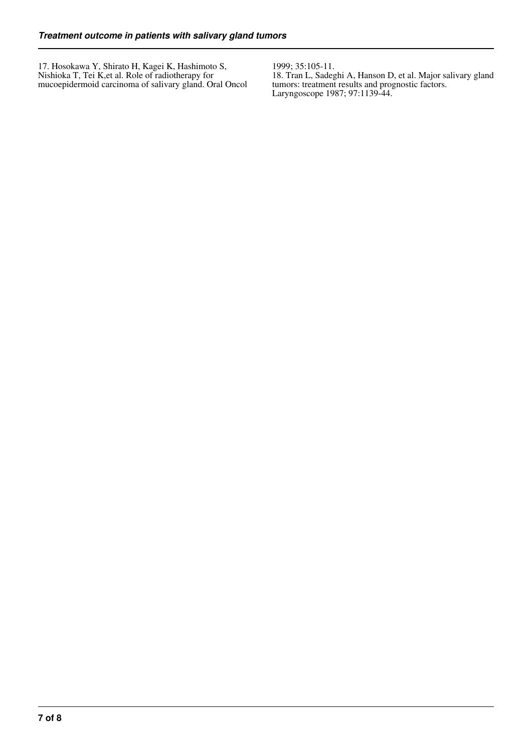17. Hosokawa Y, Shirato H, Kagei K, Hashimoto S, Nishioka T, Tei K,et al. Role of radiotherapy for mucoepidermoid carcinoma of salivary gland. Oral Oncol 1999; 35:105-11.

18. Tran L, Sadeghi A, Hanson D, et al. Major salivary gland tumors: treatment results and prognostic factors. Laryngoscope 1987; 97:1139-44.